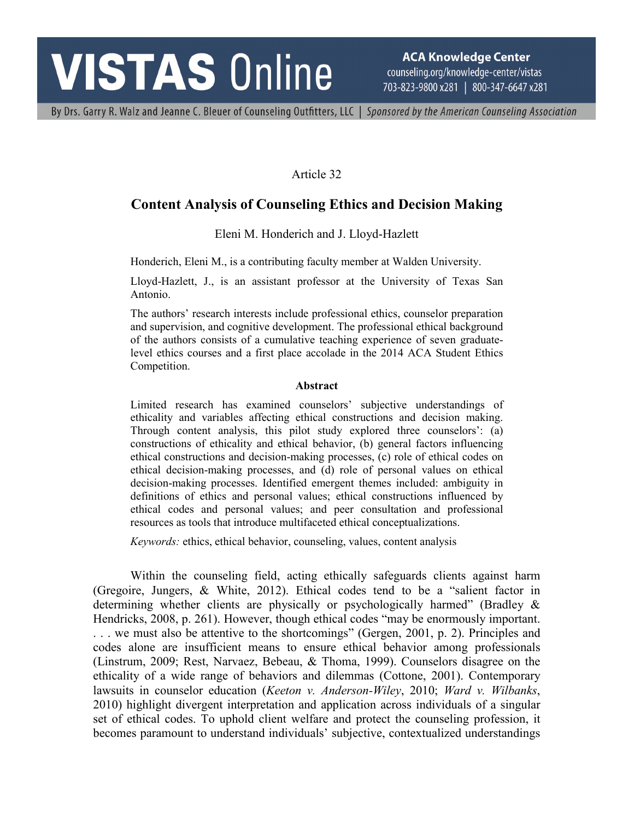# **VISTAS Online**

**ACA Knowledge Center** counseling.org/knowledge-center/vistas 703-823-9800 x281 | 800-347-6647 x281

By Drs. Garry R. Walz and Jeanne C. Bleuer of Counseling Outfitters, LLC | Sponsored by the American Counseling Association

Article 32

# **Content Analysis of Counseling Ethics and Decision Making**

Eleni M. Honderich and J. Lloyd-Hazlett

Honderich, Eleni M., is a contributing faculty member at Walden University.

Lloyd-Hazlett, J., is an assistant professor at the University of Texas San Antonio.

The authors' research interests include professional ethics, counselor preparation and supervision, and cognitive development. The professional ethical background of the authors consists of a cumulative teaching experience of seven graduatelevel ethics courses and a first place accolade in the 2014 ACA Student Ethics Competition.

#### **Abstract**

Limited research has examined counselors' subjective understandings of ethicality and variables affecting ethical constructions and decision making. Through content analysis, this pilot study explored three counselors': (a) constructions of ethicality and ethical behavior, (b) general factors influencing ethical constructions and decision-making processes, (c) role of ethical codes on ethical decision-making processes, and (d) role of personal values on ethical decision-making processes. Identified emergent themes included: ambiguity in definitions of ethics and personal values; ethical constructions influenced by ethical codes and personal values; and peer consultation and professional resources as tools that introduce multifaceted ethical conceptualizations.

*Keywords:* ethics, ethical behavior, counseling, values, content analysis

Within the counseling field, acting ethically safeguards clients against harm (Gregoire, Jungers, & White, 2012). Ethical codes tend to be a "salient factor in determining whether clients are physically or psychologically harmed" (Bradley & Hendricks, 2008, p. 261). However, though ethical codes "may be enormously important. . . . we must also be attentive to the shortcomings" (Gergen, 2001, p. 2). Principles and codes alone are insufficient means to ensure ethical behavior among professionals (Linstrum, 2009; Rest, Narvaez, Bebeau, & Thoma, 1999). Counselors disagree on the ethicality of a wide range of behaviors and dilemmas (Cottone, 2001). Contemporary lawsuits in counselor education (*Keeton v. Anderson-Wiley*, 2010; *Ward v. Wilbanks*, 2010) highlight divergent interpretation and application across individuals of a singular set of ethical codes. To uphold client welfare and protect the counseling profession, it becomes paramount to understand individuals' subjective, contextualized understandings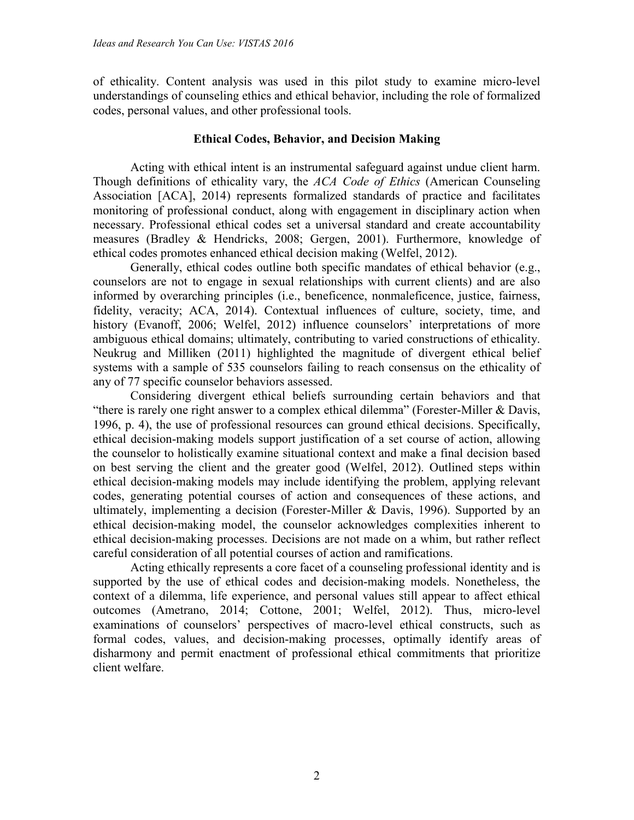of ethicality. Content analysis was used in this pilot study to examine micro-level understandings of counseling ethics and ethical behavior, including the role of formalized codes, personal values, and other professional tools.

# **Ethical Codes, Behavior, and Decision Making**

Acting with ethical intent is an instrumental safeguard against undue client harm. Though definitions of ethicality vary, the *ACA Code of Ethics* (American Counseling Association [ACA], 2014) represents formalized standards of practice and facilitates monitoring of professional conduct, along with engagement in disciplinary action when necessary. Professional ethical codes set a universal standard and create accountability measures (Bradley & Hendricks, 2008; Gergen, 2001). Furthermore, knowledge of ethical codes promotes enhanced ethical decision making (Welfel, 2012).

Generally, ethical codes outline both specific mandates of ethical behavior (e.g., counselors are not to engage in sexual relationships with current clients) and are also informed by overarching principles (i.e., beneficence, nonmaleficence, justice, fairness, fidelity, veracity; ACA, 2014). Contextual influences of culture, society, time, and history (Evanoff, 2006; Welfel, 2012) influence counselors' interpretations of more ambiguous ethical domains; ultimately, contributing to varied constructions of ethicality. Neukrug and Milliken (2011) highlighted the magnitude of divergent ethical belief systems with a sample of 535 counselors failing to reach consensus on the ethicality of any of 77 specific counselor behaviors assessed.

Considering divergent ethical beliefs surrounding certain behaviors and that "there is rarely one right answer to a complex ethical dilemma" (Forester-Miller & Davis, 1996, p. 4), the use of professional resources can ground ethical decisions. Specifically, ethical decision-making models support justification of a set course of action, allowing the counselor to holistically examine situational context and make a final decision based on best serving the client and the greater good (Welfel, 2012). Outlined steps within ethical decision-making models may include identifying the problem, applying relevant codes, generating potential courses of action and consequences of these actions, and ultimately, implementing a decision (Forester-Miller & Davis, 1996). Supported by an ethical decision-making model, the counselor acknowledges complexities inherent to ethical decision-making processes. Decisions are not made on a whim, but rather reflect careful consideration of all potential courses of action and ramifications.

Acting ethically represents a core facet of a counseling professional identity and is supported by the use of ethical codes and decision-making models. Nonetheless, the context of a dilemma, life experience, and personal values still appear to affect ethical outcomes (Ametrano, 2014; Cottone, 2001; Welfel, 2012). Thus, micro-level examinations of counselors' perspectives of macro-level ethical constructs, such as formal codes, values, and decision-making processes, optimally identify areas of disharmony and permit enactment of professional ethical commitments that prioritize client welfare.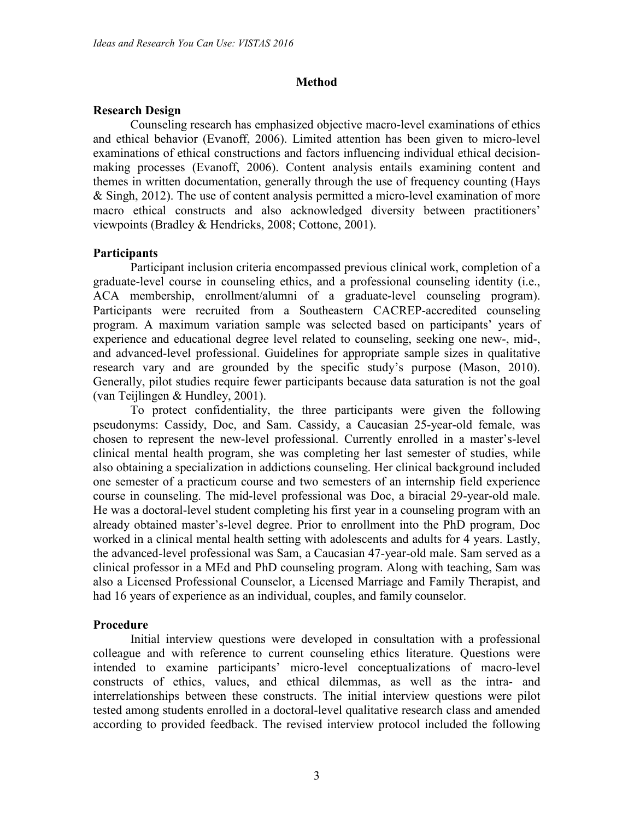#### **Method**

#### **Research Design**

Counseling research has emphasized objective macro-level examinations of ethics and ethical behavior (Evanoff, 2006). Limited attention has been given to micro-level examinations of ethical constructions and factors influencing individual ethical decisionmaking processes (Evanoff, 2006). Content analysis entails examining content and themes in written documentation, generally through the use of frequency counting (Hays & Singh, 2012). The use of content analysis permitted a micro-level examination of more macro ethical constructs and also acknowledged diversity between practitioners' viewpoints (Bradley & Hendricks, 2008; Cottone, 2001).

#### **Participants**

Participant inclusion criteria encompassed previous clinical work, completion of a graduate-level course in counseling ethics, and a professional counseling identity (i.e., ACA membership, enrollment/alumni of a graduate-level counseling program). Participants were recruited from a Southeastern CACREP-accredited counseling program. A maximum variation sample was selected based on participants' years of experience and educational degree level related to counseling, seeking one new-, mid-, and advanced-level professional. Guidelines for appropriate sample sizes in qualitative research vary and are grounded by the specific study's purpose (Mason, 2010). Generally, pilot studies require fewer participants because data saturation is not the goal (van Teijlingen & Hundley, 2001).

To protect confidentiality, the three participants were given the following pseudonyms: Cassidy, Doc, and Sam. Cassidy, a Caucasian 25-year-old female, was chosen to represent the new-level professional. Currently enrolled in a master's-level clinical mental health program, she was completing her last semester of studies, while also obtaining a specialization in addictions counseling. Her clinical background included one semester of a practicum course and two semesters of an internship field experience course in counseling. The mid-level professional was Doc, a biracial 29-year-old male. He was a doctoral-level student completing his first year in a counseling program with an already obtained master's-level degree. Prior to enrollment into the PhD program, Doc worked in a clinical mental health setting with adolescents and adults for 4 years. Lastly, the advanced-level professional was Sam, a Caucasian 47-year-old male. Sam served as a clinical professor in a MEd and PhD counseling program. Along with teaching, Sam was also a Licensed Professional Counselor, a Licensed Marriage and Family Therapist, and had 16 years of experience as an individual, couples, and family counselor.

#### **Procedure**

Initial interview questions were developed in consultation with a professional colleague and with reference to current counseling ethics literature. Questions were intended to examine participants' micro-level conceptualizations of macro-level constructs of ethics, values, and ethical dilemmas, as well as the intra- and interrelationships between these constructs. The initial interview questions were pilot tested among students enrolled in a doctoral-level qualitative research class and amended according to provided feedback. The revised interview protocol included the following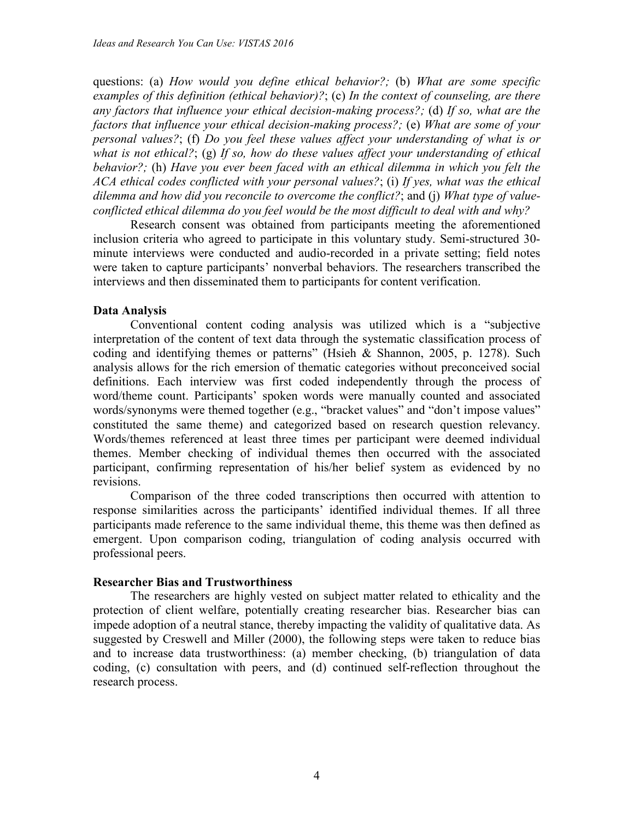questions: (a) *How would you define ethical behavior?;* (b) *What are some specific examples of this definition (ethical behavior)?*; (c) *In the context of counseling, are there any factors that influence your ethical decision-making process?;* (d) *If so, what are the factors that influence your ethical decision-making process?;* (e) *What are some of your personal values?*; (f) *Do you feel these values affect your understanding of what is or what is not ethical?*; (g) *If so, how do these values affect your understanding of ethical behavior?;* (h) *Have you ever been faced with an ethical dilemma in which you felt the ACA ethical codes conflicted with your personal values?*; (i) *If yes, what was the ethical dilemma and how did you reconcile to overcome the conflict?*; and (j) *What type of valueconflicted ethical dilemma do you feel would be the most difficult to deal with and why?*

Research consent was obtained from participants meeting the aforementioned inclusion criteria who agreed to participate in this voluntary study. Semi-structured 30 minute interviews were conducted and audio-recorded in a private setting; field notes were taken to capture participants' nonverbal behaviors. The researchers transcribed the interviews and then disseminated them to participants for content verification.

# **Data Analysis**

Conventional content coding analysis was utilized which is a "subjective interpretation of the content of text data through the systematic classification process of coding and identifying themes or patterns" (Hsieh & Shannon, 2005, p. 1278). Such analysis allows for the rich emersion of thematic categories without preconceived social definitions. Each interview was first coded independently through the process of word/theme count. Participants' spoken words were manually counted and associated words/synonyms were themed together (e.g., "bracket values" and "don't impose values" constituted the same theme) and categorized based on research question relevancy. Words/themes referenced at least three times per participant were deemed individual themes. Member checking of individual themes then occurred with the associated participant, confirming representation of his/her belief system as evidenced by no revisions.

Comparison of the three coded transcriptions then occurred with attention to response similarities across the participants' identified individual themes. If all three participants made reference to the same individual theme, this theme was then defined as emergent. Upon comparison coding, triangulation of coding analysis occurred with professional peers.

# **Researcher Bias and Trustworthiness**

The researchers are highly vested on subject matter related to ethicality and the protection of client welfare, potentially creating researcher bias. Researcher bias can impede adoption of a neutral stance, thereby impacting the validity of qualitative data. As suggested by Creswell and Miller (2000), the following steps were taken to reduce bias and to increase data trustworthiness: (a) member checking, (b) triangulation of data coding, (c) consultation with peers, and (d) continued self-reflection throughout the research process.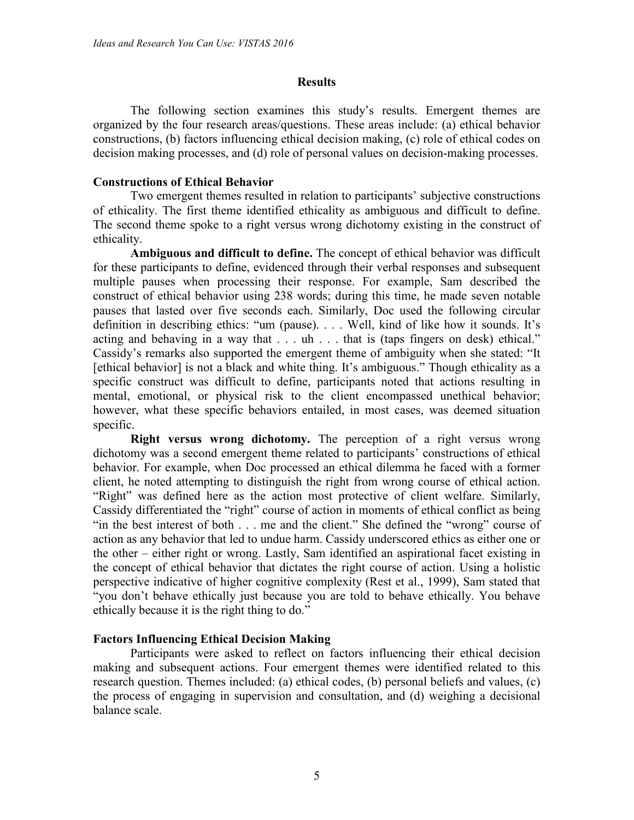#### **Results**

The following section examines this study's results. Emergent themes are organized by the four research areas/questions. These areas include: (a) ethical behavior constructions, (b) factors influencing ethical decision making, (c) role of ethical codes on decision making processes, and (d) role of personal values on decision-making processes.

### **Constructions of Ethical Behavior**

Two emergent themes resulted in relation to participants' subjective constructions of ethicality. The first theme identified ethicality as ambiguous and difficult to define. The second theme spoke to a right versus wrong dichotomy existing in the construct of ethicality.

**Ambiguous and difficult to define.** The concept of ethical behavior was difficult for these participants to define, evidenced through their verbal responses and subsequent multiple pauses when processing their response. For example, Sam described the construct of ethical behavior using 238 words; during this time, he made seven notable pauses that lasted over five seconds each. Similarly, Doc used the following circular definition in describing ethics: "um (pause). . . . Well, kind of like how it sounds. It's acting and behaving in a way that . . . uh . . . that is (taps fingers on desk) ethical." Cassidy's remarks also supported the emergent theme of ambiguity when she stated: "It [ethical behavior] is not a black and white thing. It's ambiguous." Though ethicality as a specific construct was difficult to define, participants noted that actions resulting in mental, emotional, or physical risk to the client encompassed unethical behavior; however, what these specific behaviors entailed, in most cases, was deemed situation specific.

**Right versus wrong dichotomy.** The perception of a right versus wrong dichotomy was a second emergent theme related to participants' constructions of ethical behavior. For example, when Doc processed an ethical dilemma he faced with a former client, he noted attempting to distinguish the right from wrong course of ethical action. "Right" was defined here as the action most protective of client welfare. Similarly, Cassidy differentiated the "right" course of action in moments of ethical conflict as being "in the best interest of both . . . me and the client." She defined the "wrong" course of action as any behavior that led to undue harm. Cassidy underscored ethics as either one or the other – either right or wrong. Lastly, Sam identified an aspirational facet existing in the concept of ethical behavior that dictates the right course of action. Using a holistic perspective indicative of higher cognitive complexity (Rest et al., 1999), Sam stated that "you don't behave ethically just because you are told to behave ethically. You behave ethically because it is the right thing to do."

# **Factors Influencing Ethical Decision Making**

Participants were asked to reflect on factors influencing their ethical decision making and subsequent actions. Four emergent themes were identified related to this research question. Themes included: (a) ethical codes, (b) personal beliefs and values, (c) the process of engaging in supervision and consultation, and (d) weighing a decisional balance scale.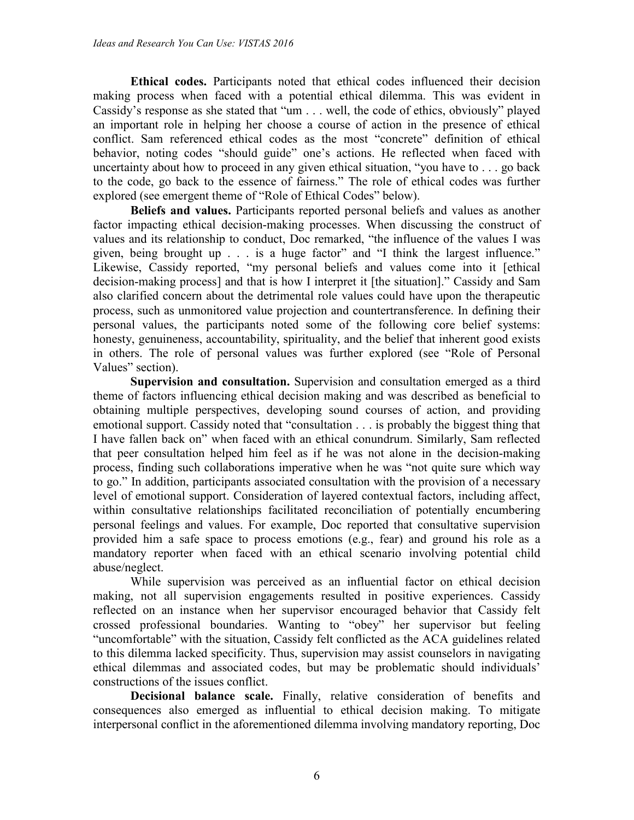**Ethical codes.** Participants noted that ethical codes influenced their decision making process when faced with a potential ethical dilemma. This was evident in Cassidy's response as she stated that "um . . . well, the code of ethics, obviously" played an important role in helping her choose a course of action in the presence of ethical conflict. Sam referenced ethical codes as the most "concrete" definition of ethical behavior, noting codes "should guide" one's actions. He reflected when faced with uncertainty about how to proceed in any given ethical situation, "you have to . . . go back to the code, go back to the essence of fairness." The role of ethical codes was further explored (see emergent theme of "Role of Ethical Codes" below).

**Beliefs and values.** Participants reported personal beliefs and values as another factor impacting ethical decision-making processes. When discussing the construct of values and its relationship to conduct, Doc remarked, "the influence of the values I was given, being brought up . . . is a huge factor" and "I think the largest influence." Likewise, Cassidy reported, "my personal beliefs and values come into it [ethical decision-making process] and that is how I interpret it [the situation]." Cassidy and Sam also clarified concern about the detrimental role values could have upon the therapeutic process, such as unmonitored value projection and countertransference. In defining their personal values, the participants noted some of the following core belief systems: honesty, genuineness, accountability, spirituality, and the belief that inherent good exists in others. The role of personal values was further explored (see "Role of Personal Values" section).

**Supervision and consultation.** Supervision and consultation emerged as a third theme of factors influencing ethical decision making and was described as beneficial to obtaining multiple perspectives, developing sound courses of action, and providing emotional support. Cassidy noted that "consultation . . . is probably the biggest thing that I have fallen back on" when faced with an ethical conundrum. Similarly, Sam reflected that peer consultation helped him feel as if he was not alone in the decision-making process, finding such collaborations imperative when he was "not quite sure which way to go." In addition, participants associated consultation with the provision of a necessary level of emotional support. Consideration of layered contextual factors, including affect, within consultative relationships facilitated reconciliation of potentially encumbering personal feelings and values. For example, Doc reported that consultative supervision provided him a safe space to process emotions (e.g., fear) and ground his role as a mandatory reporter when faced with an ethical scenario involving potential child abuse/neglect.

While supervision was perceived as an influential factor on ethical decision making, not all supervision engagements resulted in positive experiences. Cassidy reflected on an instance when her supervisor encouraged behavior that Cassidy felt crossed professional boundaries. Wanting to "obey" her supervisor but feeling "uncomfortable" with the situation, Cassidy felt conflicted as the ACA guidelines related to this dilemma lacked specificity. Thus, supervision may assist counselors in navigating ethical dilemmas and associated codes, but may be problematic should individuals' constructions of the issues conflict.

**Decisional balance scale.** Finally, relative consideration of benefits and consequences also emerged as influential to ethical decision making. To mitigate interpersonal conflict in the aforementioned dilemma involving mandatory reporting, Doc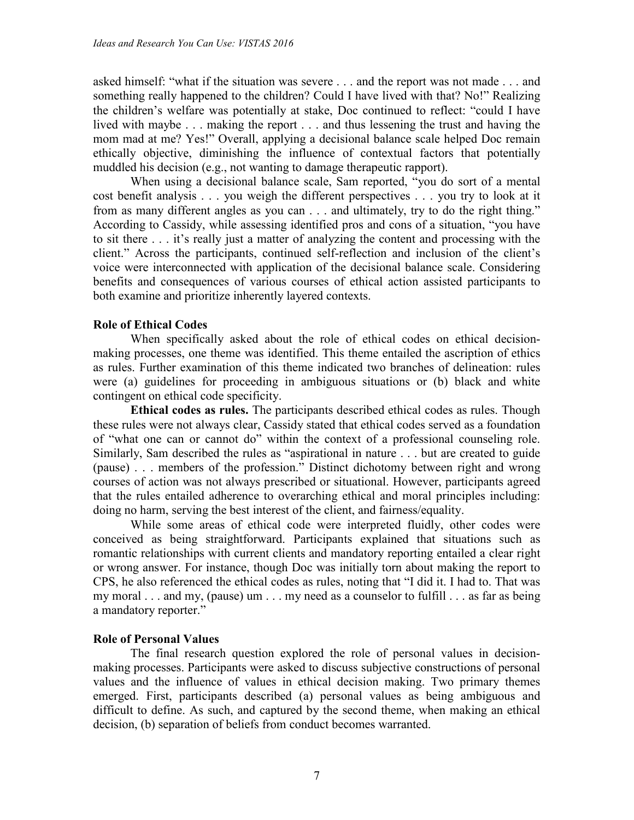asked himself: "what if the situation was severe . . . and the report was not made . . . and something really happened to the children? Could I have lived with that? No!" Realizing the children's welfare was potentially at stake, Doc continued to reflect: "could I have lived with maybe . . . making the report . . . and thus lessening the trust and having the mom mad at me? Yes!" Overall, applying a decisional balance scale helped Doc remain ethically objective, diminishing the influence of contextual factors that potentially muddled his decision (e.g., not wanting to damage therapeutic rapport).

When using a decisional balance scale, Sam reported, "you do sort of a mental cost benefit analysis . . . you weigh the different perspectives . . . you try to look at it from as many different angles as you can . . . and ultimately, try to do the right thing." According to Cassidy, while assessing identified pros and cons of a situation, "you have to sit there . . . it's really just a matter of analyzing the content and processing with the client." Across the participants, continued self-reflection and inclusion of the client's voice were interconnected with application of the decisional balance scale. Considering benefits and consequences of various courses of ethical action assisted participants to both examine and prioritize inherently layered contexts.

# **Role of Ethical Codes**

When specifically asked about the role of ethical codes on ethical decisionmaking processes, one theme was identified. This theme entailed the ascription of ethics as rules. Further examination of this theme indicated two branches of delineation: rules were (a) guidelines for proceeding in ambiguous situations or (b) black and white contingent on ethical code specificity.

**Ethical codes as rules.** The participants described ethical codes as rules. Though these rules were not always clear, Cassidy stated that ethical codes served as a foundation of "what one can or cannot do" within the context of a professional counseling role. Similarly, Sam described the rules as "aspirational in nature . . . but are created to guide (pause) . . . members of the profession." Distinct dichotomy between right and wrong courses of action was not always prescribed or situational. However, participants agreed that the rules entailed adherence to overarching ethical and moral principles including: doing no harm, serving the best interest of the client, and fairness/equality.

While some areas of ethical code were interpreted fluidly, other codes were conceived as being straightforward. Participants explained that situations such as romantic relationships with current clients and mandatory reporting entailed a clear right or wrong answer. For instance, though Doc was initially torn about making the report to CPS, he also referenced the ethical codes as rules, noting that "I did it. I had to. That was my moral . . . and my, (pause) um . . . my need as a counselor to fulfill . . . as far as being a mandatory reporter."

# **Role of Personal Values**

The final research question explored the role of personal values in decisionmaking processes. Participants were asked to discuss subjective constructions of personal values and the influence of values in ethical decision making. Two primary themes emerged. First, participants described (a) personal values as being ambiguous and difficult to define. As such, and captured by the second theme, when making an ethical decision, (b) separation of beliefs from conduct becomes warranted.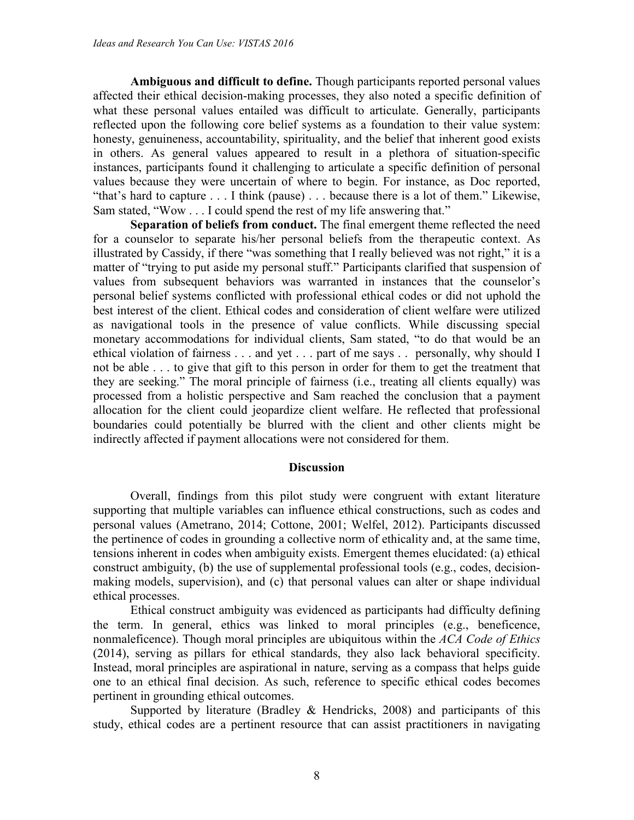**Ambiguous and difficult to define.** Though participants reported personal values affected their ethical decision-making processes, they also noted a specific definition of what these personal values entailed was difficult to articulate. Generally, participants reflected upon the following core belief systems as a foundation to their value system: honesty, genuineness, accountability, spirituality, and the belief that inherent good exists in others. As general values appeared to result in a plethora of situation-specific instances, participants found it challenging to articulate a specific definition of personal values because they were uncertain of where to begin. For instance, as Doc reported, "that's hard to capture . . . I think (pause) . . . because there is a lot of them." Likewise, Sam stated, "Wow . . . I could spend the rest of my life answering that."

**Separation of beliefs from conduct.** The final emergent theme reflected the need for a counselor to separate his/her personal beliefs from the therapeutic context. As illustrated by Cassidy, if there "was something that I really believed was not right," it is a matter of "trying to put aside my personal stuff." Participants clarified that suspension of values from subsequent behaviors was warranted in instances that the counselor's personal belief systems conflicted with professional ethical codes or did not uphold the best interest of the client. Ethical codes and consideration of client welfare were utilized as navigational tools in the presence of value conflicts. While discussing special monetary accommodations for individual clients, Sam stated, "to do that would be an ethical violation of fairness . . . and yet . . . part of me says . . personally, why should I not be able . . . to give that gift to this person in order for them to get the treatment that they are seeking." The moral principle of fairness (i.e., treating all clients equally) was processed from a holistic perspective and Sam reached the conclusion that a payment allocation for the client could jeopardize client welfare. He reflected that professional boundaries could potentially be blurred with the client and other clients might be indirectly affected if payment allocations were not considered for them.

#### **Discussion**

Overall, findings from this pilot study were congruent with extant literature supporting that multiple variables can influence ethical constructions, such as codes and personal values (Ametrano, 2014; Cottone, 2001; Welfel, 2012). Participants discussed the pertinence of codes in grounding a collective norm of ethicality and, at the same time, tensions inherent in codes when ambiguity exists. Emergent themes elucidated: (a) ethical construct ambiguity, (b) the use of supplemental professional tools (e.g., codes, decisionmaking models, supervision), and (c) that personal values can alter or shape individual ethical processes.

Ethical construct ambiguity was evidenced as participants had difficulty defining the term. In general, ethics was linked to moral principles (e.g., beneficence, nonmaleficence). Though moral principles are ubiquitous within the *ACA Code of Ethics* (2014), serving as pillars for ethical standards, they also lack behavioral specificity. Instead, moral principles are aspirational in nature, serving as a compass that helps guide one to an ethical final decision. As such, reference to specific ethical codes becomes pertinent in grounding ethical outcomes.

Supported by literature (Bradley & Hendricks, 2008) and participants of this study, ethical codes are a pertinent resource that can assist practitioners in navigating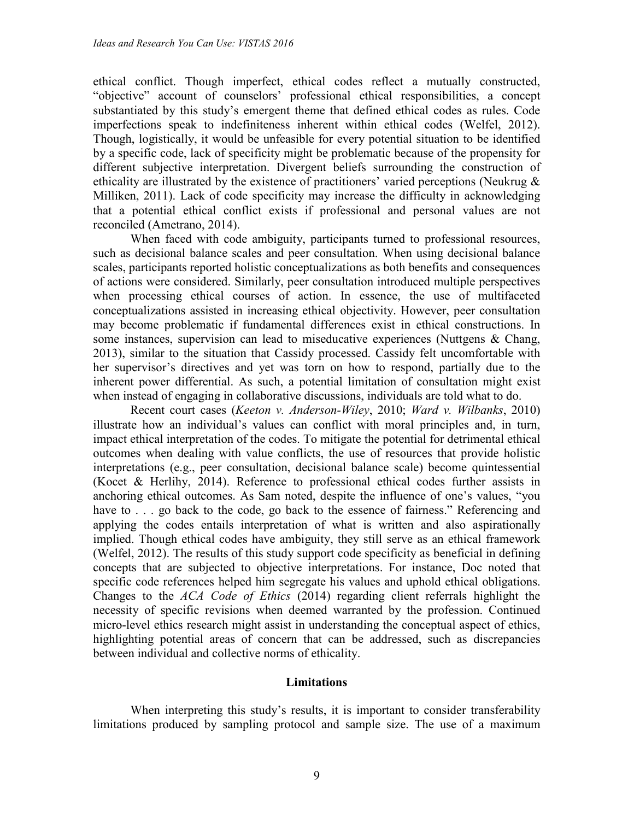ethical conflict. Though imperfect, ethical codes reflect a mutually constructed, "objective" account of counselors' professional ethical responsibilities, a concept substantiated by this study's emergent theme that defined ethical codes as rules. Code imperfections speak to indefiniteness inherent within ethical codes (Welfel, 2012). Though, logistically, it would be unfeasible for every potential situation to be identified by a specific code, lack of specificity might be problematic because of the propensity for different subjective interpretation. Divergent beliefs surrounding the construction of ethicality are illustrated by the existence of practitioners' varied perceptions (Neukrug & Milliken, 2011). Lack of code specificity may increase the difficulty in acknowledging that a potential ethical conflict exists if professional and personal values are not reconciled (Ametrano, 2014).

When faced with code ambiguity, participants turned to professional resources, such as decisional balance scales and peer consultation. When using decisional balance scales, participants reported holistic conceptualizations as both benefits and consequences of actions were considered. Similarly, peer consultation introduced multiple perspectives when processing ethical courses of action. In essence, the use of multifaceted conceptualizations assisted in increasing ethical objectivity. However, peer consultation may become problematic if fundamental differences exist in ethical constructions. In some instances, supervision can lead to miseducative experiences (Nuttgens & Chang, 2013), similar to the situation that Cassidy processed. Cassidy felt uncomfortable with her supervisor's directives and yet was torn on how to respond, partially due to the inherent power differential. As such, a potential limitation of consultation might exist when instead of engaging in collaborative discussions, individuals are told what to do.

Recent court cases (*Keeton v. Anderson-Wiley*, 2010; *Ward v. Wilbanks*, 2010) illustrate how an individual's values can conflict with moral principles and, in turn, impact ethical interpretation of the codes. To mitigate the potential for detrimental ethical outcomes when dealing with value conflicts, the use of resources that provide holistic interpretations (e.g., peer consultation, decisional balance scale) become quintessential (Kocet & Herlihy, 2014). Reference to professional ethical codes further assists in anchoring ethical outcomes. As Sam noted, despite the influence of one's values, "you have to . . . go back to the code, go back to the essence of fairness." Referencing and applying the codes entails interpretation of what is written and also aspirationally implied. Though ethical codes have ambiguity, they still serve as an ethical framework (Welfel, 2012). The results of this study support code specificity as beneficial in defining concepts that are subjected to objective interpretations. For instance, Doc noted that specific code references helped him segregate his values and uphold ethical obligations. Changes to the *ACA Code of Ethics* (2014) regarding client referrals highlight the necessity of specific revisions when deemed warranted by the profession. Continued micro-level ethics research might assist in understanding the conceptual aspect of ethics, highlighting potential areas of concern that can be addressed, such as discrepancies between individual and collective norms of ethicality.

#### **Limitations**

When interpreting this study's results, it is important to consider transferability limitations produced by sampling protocol and sample size. The use of a maximum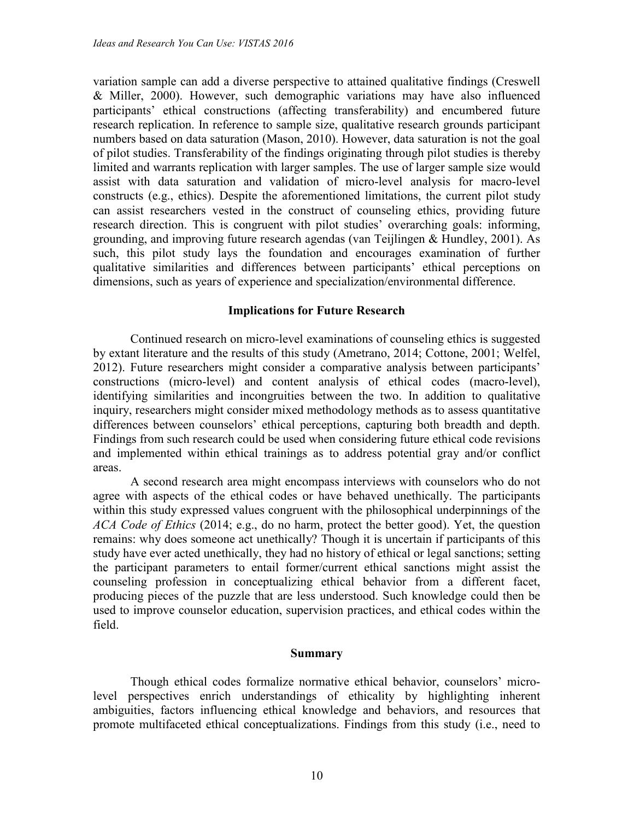variation sample can add a diverse perspective to attained qualitative findings (Creswell & Miller, 2000). However, such demographic variations may have also influenced participants' ethical constructions (affecting transferability) and encumbered future research replication. In reference to sample size, qualitative research grounds participant numbers based on data saturation (Mason, 2010). However, data saturation is not the goal of pilot studies. Transferability of the findings originating through pilot studies is thereby limited and warrants replication with larger samples. The use of larger sample size would assist with data saturation and validation of micro-level analysis for macro-level constructs (e.g., ethics). Despite the aforementioned limitations, the current pilot study can assist researchers vested in the construct of counseling ethics, providing future research direction. This is congruent with pilot studies' overarching goals: informing, grounding, and improving future research agendas (van Teijlingen & Hundley, 2001). As such, this pilot study lays the foundation and encourages examination of further qualitative similarities and differences between participants' ethical perceptions on dimensions, such as years of experience and specialization/environmental difference.

# **Implications for Future Research**

Continued research on micro-level examinations of counseling ethics is suggested by extant literature and the results of this study (Ametrano, 2014; Cottone, 2001; Welfel, 2012). Future researchers might consider a comparative analysis between participants' constructions (micro-level) and content analysis of ethical codes (macro-level), identifying similarities and incongruities between the two. In addition to qualitative inquiry, researchers might consider mixed methodology methods as to assess quantitative differences between counselors' ethical perceptions, capturing both breadth and depth. Findings from such research could be used when considering future ethical code revisions and implemented within ethical trainings as to address potential gray and/or conflict areas.

A second research area might encompass interviews with counselors who do not agree with aspects of the ethical codes or have behaved unethically. The participants within this study expressed values congruent with the philosophical underpinnings of the *ACA Code of Ethics* (2014; e.g., do no harm, protect the better good). Yet, the question remains: why does someone act unethically? Though it is uncertain if participants of this study have ever acted unethically, they had no history of ethical or legal sanctions; setting the participant parameters to entail former/current ethical sanctions might assist the counseling profession in conceptualizing ethical behavior from a different facet, producing pieces of the puzzle that are less understood. Such knowledge could then be used to improve counselor education, supervision practices, and ethical codes within the field.

#### **Summary**

Though ethical codes formalize normative ethical behavior, counselors' microlevel perspectives enrich understandings of ethicality by highlighting inherent ambiguities, factors influencing ethical knowledge and behaviors, and resources that promote multifaceted ethical conceptualizations. Findings from this study (i.e., need to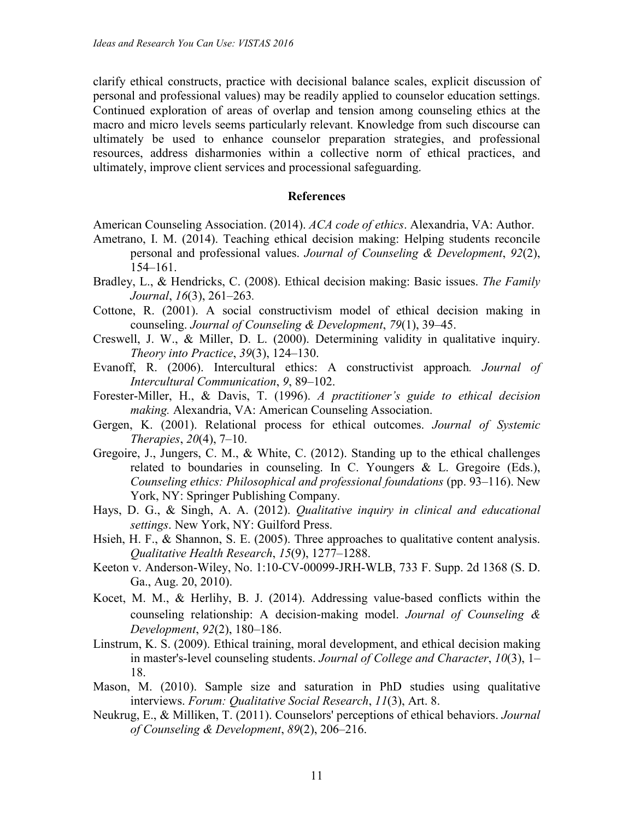clarify ethical constructs, practice with decisional balance scales, explicit discussion of personal and professional values) may be readily applied to counselor education settings. Continued exploration of areas of overlap and tension among counseling ethics at the macro and micro levels seems particularly relevant. Knowledge from such discourse can ultimately be used to enhance counselor preparation strategies, and professional resources, address disharmonies within a collective norm of ethical practices, and ultimately, improve client services and processional safeguarding.

# **References**

- American Counseling Association. (2014). *ACA code of ethics*. Alexandria, VA: Author.
- Ametrano, I. M. (2014). Teaching ethical decision making: Helping students reconcile personal and professional values. *Journal of Counseling & Development*, *92*(2), 154–161.
- Bradley, L., & Hendricks, C. (2008). Ethical decision making: Basic issues. *The Family Journal*, *16*(3), 261–263*.*
- Cottone, R. (2001). A social constructivism model of ethical decision making in counseling. *Journal of Counseling & Development*, *79*(1), 39–45.
- Creswell, J. W., & Miller, D. L. (2000). Determining validity in qualitative inquiry. *Theory into Practice*, *39*(3), 124–130.
- Evanoff, R. (2006). Intercultural ethics: A constructivist approach*. Journal of Intercultural Communication*, *9*, 89–102.
- Forester-Miller, H., & Davis, T. (1996). *A practitioner's guide to ethical decision making.* Alexandria, VA: American Counseling Association.
- Gergen, K. (2001). Relational process for ethical outcomes. *Journal of Systemic Therapies*, *20*(4), 7–10.
- Gregoire, J., Jungers, C. M., & White, C. (2012). Standing up to the ethical challenges related to boundaries in counseling. In C. Youngers & L. Gregoire (Eds.), *Counseling ethics: Philosophical and professional foundations* (pp. 93–116). New York, NY: Springer Publishing Company.
- Hays, D. G., & Singh, A. A. (2012). *Qualitative inquiry in clinical and educational settings*. New York, NY: Guilford Press.
- Hsieh, H. F., & Shannon, S. E. (2005). Three approaches to qualitative content analysis. *Qualitative Health Research*, *15*(9), 1277–1288.
- Keeton v. Anderson-Wiley, No. 1:10-CV-00099-JRH-WLB, 733 F. Supp. 2d 1368 (S. D. Ga., Aug. 20, 2010).
- Kocet, M. M., & Herlihy, B. J. (2014). Addressing value‐based conflicts within the counseling relationship: A decision‐making model. *Journal of Counseling & Development*, *92*(2), 180–186.
- Linstrum, K. S. (2009). Ethical training, moral development, and ethical decision making in master's-level counseling students. *Journal of College and Character*, *10*(3), 1– 18.
- Mason, M. (2010). Sample size and saturation in PhD studies using qualitative interviews. *Forum: Qualitative Social Research*, *11*(3), Art. 8.
- Neukrug, E., & Milliken, T. (2011). Counselors' perceptions of ethical behaviors. *Journal of Counseling & Development*, *89*(2), 206–216.